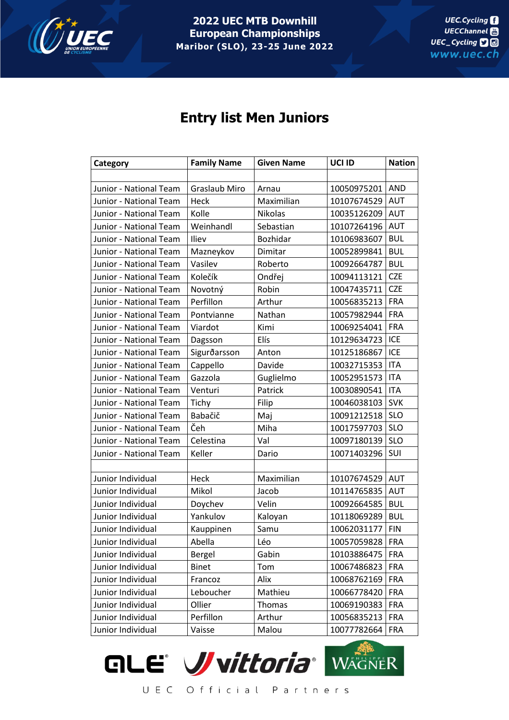

**2022 UEC MTB Downhill European Championships Maribor (SLO), 23-25 June 2022**

## **Entry list Men Juniors**

| Category               | <b>Family Name</b>   | <b>Given Name</b> | UCI ID      | <b>Nation</b> |
|------------------------|----------------------|-------------------|-------------|---------------|
|                        |                      |                   |             |               |
| Junior - National Team | <b>Graslaub Miro</b> | Arnau             | 10050975201 | <b>AND</b>    |
| Junior - National Team | Heck                 | Maximilian        | 10107674529 | <b>AUT</b>    |
| Junior - National Team | Kolle                | <b>Nikolas</b>    | 10035126209 | <b>AUT</b>    |
| Junior - National Team | Weinhandl            | Sebastian         | 10107264196 | <b>AUT</b>    |
| Junior - National Team | Iliev                | Bozhidar          | 10106983607 | <b>BUL</b>    |
| Junior - National Team | Mazneykov            | Dimitar           | 10052899841 | <b>BUL</b>    |
| Junior - National Team | Vasilev              | Roberto           | 10092664787 | <b>BUL</b>    |
| Junior - National Team | Kolečík              | Ondřej            | 10094113121 | <b>CZE</b>    |
| Junior - National Team | Novotný              | Robin             | 10047435711 | <b>CZE</b>    |
| Junior - National Team | Perfillon            | Arthur            | 10056835213 | <b>FRA</b>    |
| Junior - National Team | Pontvianne           | Nathan            | 10057982944 | <b>FRA</b>    |
| Junior - National Team | Viardot              | Kimi              | 10069254041 | <b>FRA</b>    |
| Junior - National Team | Dagsson              | Elís              | 10129634723 | ICE           |
| Junior - National Team | Sigurðarsson         | Anton             | 10125186867 | ICE           |
| Junior - National Team | Cappello             | Davide            | 10032715353 | <b>ITA</b>    |
| Junior - National Team | Gazzola              | Guglielmo         | 10052951573 | <b>ITA</b>    |
| Junior - National Team | Venturi              | Patrick           | 10030890541 | <b>ITA</b>    |
| Junior - National Team | Tichy                | Filip             | 10046038103 | <b>SVK</b>    |
| Junior - National Team | Babačič              | Maj               | 10091212518 | <b>SLO</b>    |
| Junior - National Team | Čeh                  | Miha              | 10017597703 | <b>SLO</b>    |
| Junior - National Team | Celestina            | Val               | 10097180139 | <b>SLO</b>    |
| Junior - National Team | Keller               | Dario             | 10071403296 | SUI           |
|                        |                      |                   |             |               |
| Junior Individual      | Heck                 | Maximilian        | 10107674529 | <b>AUT</b>    |
| Junior Individual      | Mikol                | Jacob             | 10114765835 | <b>AUT</b>    |
| Junior Individual      | Doychev              | Velin             | 10092664585 | <b>BUL</b>    |
| Junior Individual      | Yankulov             | Kaloyan           | 10118069289 | <b>BUL</b>    |
| Junior Individual      | Kauppinen            | Samu              | 10062031177 | <b>FIN</b>    |
| Junior Individual      | Abella               | Léo               | 10057059828 | <b>FRA</b>    |
| Junior Individual      | Bergel               | Gabin             | 10103886475 | <b>FRA</b>    |
| Junior Individual      | <b>Binet</b>         | Tom               | 10067486823 | <b>FRA</b>    |
| Junior Individual      | Francoz              | Alix              | 10068762169 | <b>FRA</b>    |
| Junior Individual      | Leboucher            | Mathieu           | 10066778420 | <b>FRA</b>    |
| Junior Individual      | Ollier               | Thomas            | 10069190383 | <b>FRA</b>    |
| Junior Individual      | Perfillon            | Arthur            | 10056835213 | <b>FRA</b>    |
| Junior Individual      | Vaisse               | Malou             | 10077782664 | <b>FRA</b>    |